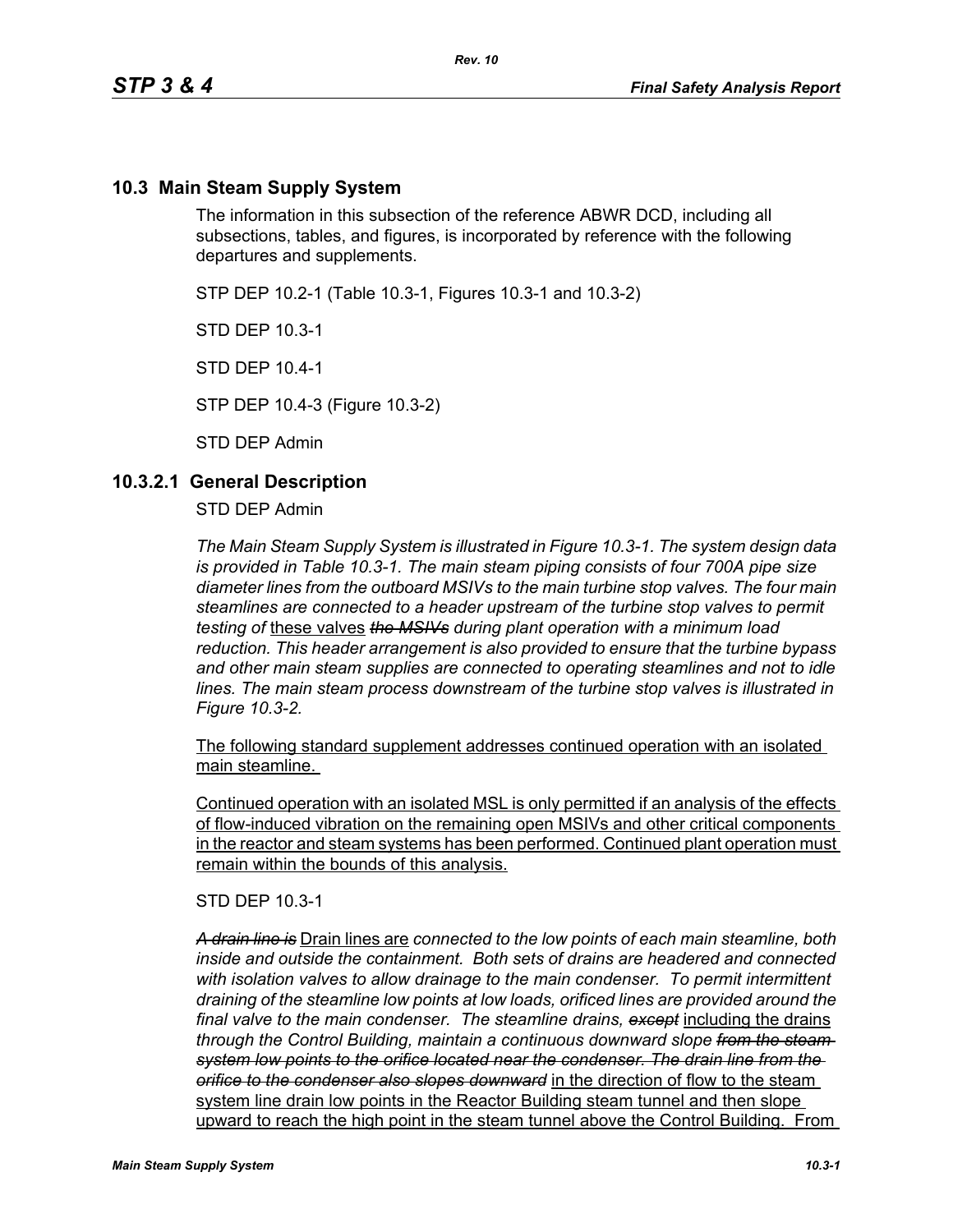## **10.3 Main Steam Supply System**

The information in this subsection of the reference ABWR DCD, including all subsections, tables, and figures, is incorporated by reference with the following departures and supplements.

STP DEP 10.2-1 (Table 10.3-1, Figures 10.3-1 and 10.3-2)

STD DEP 10.3-1

STD DEP 10.4-1

STP DEP 10.4-3 (Figure 10.3-2)

STD DEP Admin

### **10.3.2.1 General Description**

STD DEP Admin

*The Main Steam Supply System is illustrated in Figure 10.3-1. The system design data is provided in Table 10.3-1. The main steam piping consists of four 700A pipe size diameter lines from the outboard MSIVs to the main turbine stop valves. The four main steamlines are connected to a header upstream of the turbine stop valves to permit testing of* these valves *the MSIVs during plant operation with a minimum load reduction. This header arrangement is also provided to ensure that the turbine bypass and other main steam supplies are connected to operating steamlines and not to idle lines. The main steam process downstream of the turbine stop valves is illustrated in Figure 10.3-2.*

The following standard supplement addresses continued operation with an isolated main steamline.

Continued operation with an isolated MSL is only permitted if an analysis of the effects of flow-induced vibration on the remaining open MSIVs and other critical components in the reactor and steam systems has been performed. Continued plant operation must remain within the bounds of this analysis.

STD DEP 10.3-1

*A drain line is* Drain lines are *connected to the low points of each main steamline, both inside and outside the containment. Both sets of drains are headered and connected with isolation valves to allow drainage to the main condenser. To permit intermittent draining of the steamline low points at low loads, orificed lines are provided around the final valve to the main condenser. The steamline drains, except* including the drains *through the Control Building, maintain a continuous downward slope from the steam system low points to the orifice located near the condenser. The drain line from the orifice to the condenser also slopes downward* in the direction of flow to the steam system line drain low points in the Reactor Building steam tunnel and then slope upward to reach the high point in the steam tunnel above the Control Building. From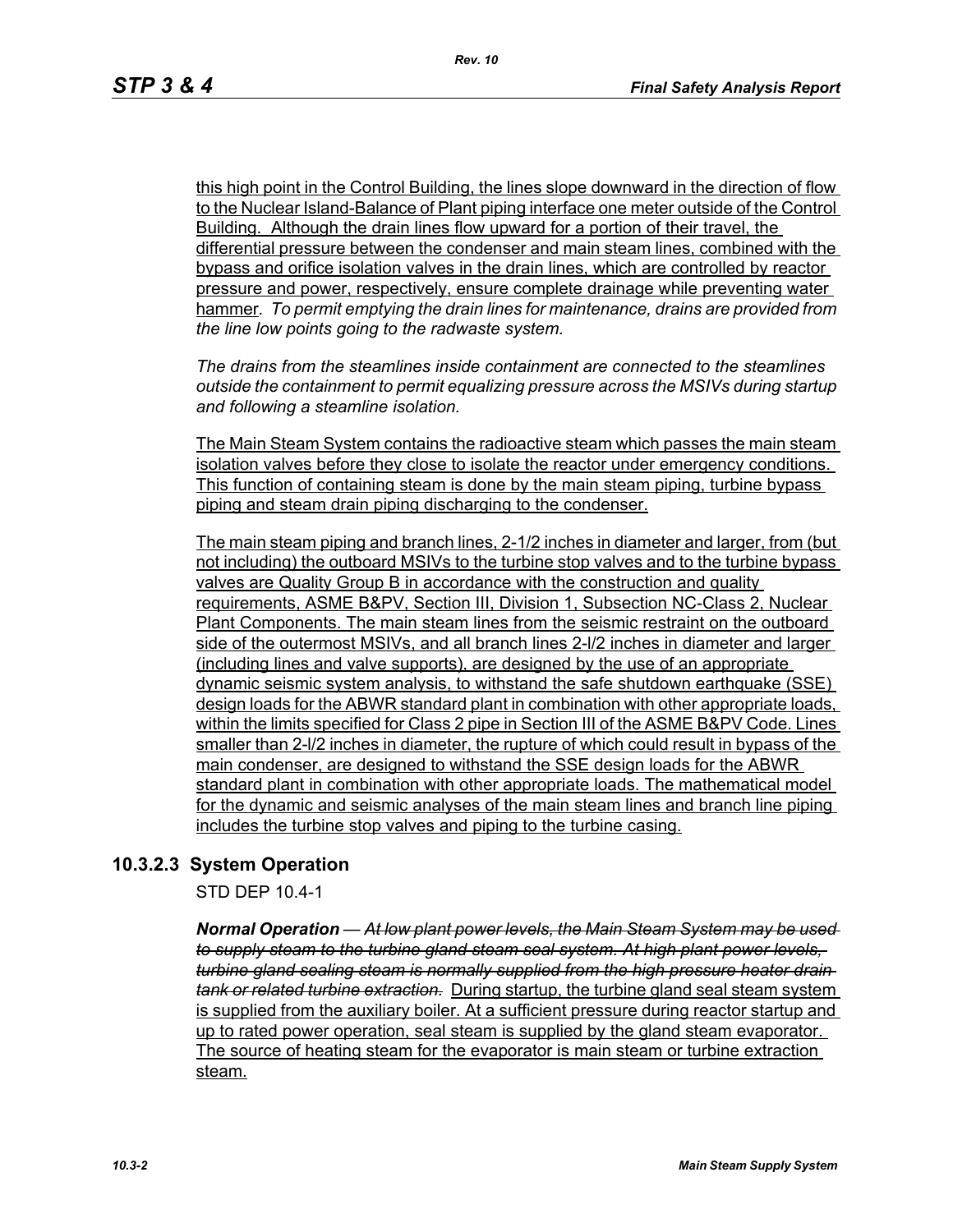this high point in the Control Building, the lines slope downward in the direction of flow to the Nuclear Island-Balance of Plant piping interface one meter outside of the Control Building. Although the drain lines flow upward for a portion of their travel, the differential pressure between the condenser and main steam lines, combined with the bypass and orifice isolation valves in the drain lines, which are controlled by reactor pressure and power, respectively, ensure complete drainage while preventing water hammer*. To permit emptying the drain lines for maintenance, drains are provided from the line low points going to the radwaste system.*

*The drains from the steamlines inside containment are connected to the steamlines outside the containment to permit equalizing pressure across the MSIVs during startup and following a steamline isolation.*

The Main Steam System contains the radioactive steam which passes the main steam isolation valves before they close to isolate the reactor under emergency conditions. This function of containing steam is done by the main steam piping, turbine bypass piping and steam drain piping discharging to the condenser.

The main steam piping and branch lines, 2-1/2 inches in diameter and larger, from (but not including) the outboard MSIVs to the turbine stop valves and to the turbine bypass valves are Quality Group B in accordance with the construction and quality requirements, ASME B&PV, Section III, Division 1, Subsection NC-Class 2, Nuclear Plant Components. The main steam lines from the seismic restraint on the outboard side of the outermost MSIVs, and all branch lines 2-l/2 inches in diameter and larger (including lines and valve supports), are designed by the use of an appropriate dynamic seismic system analysis, to withstand the safe shutdown earthquake (SSE) design loads for the ABWR standard plant in combination with other appropriate loads, within the limits specified for Class 2 pipe in Section III of the ASME B&PV Code. Lines smaller than 2-l/2 inches in diameter, the rupture of which could result in bypass of the main condenser, are designed to withstand the SSE design loads for the ABWR standard plant in combination with other appropriate loads. The mathematical model for the dynamic and seismic analyses of the main steam lines and branch line piping includes the turbine stop valves and piping to the turbine casing.

## **10.3.2.3 System Operation**

STD DEP 10.4-1

*Normal Operation — At low plant power levels, the Main Steam System may be used to supply steam to the turbine gland steam seal system. At high plant power levels, turbine gland sealing steam is normally supplied from the high pressure heater drain tank or related turbine extraction.* During startup, the turbine gland seal steam system is supplied from the auxiliary boiler. At a sufficient pressure during reactor startup and up to rated power operation, seal steam is supplied by the gland steam evaporator. The source of heating steam for the evaporator is main steam or turbine extraction steam.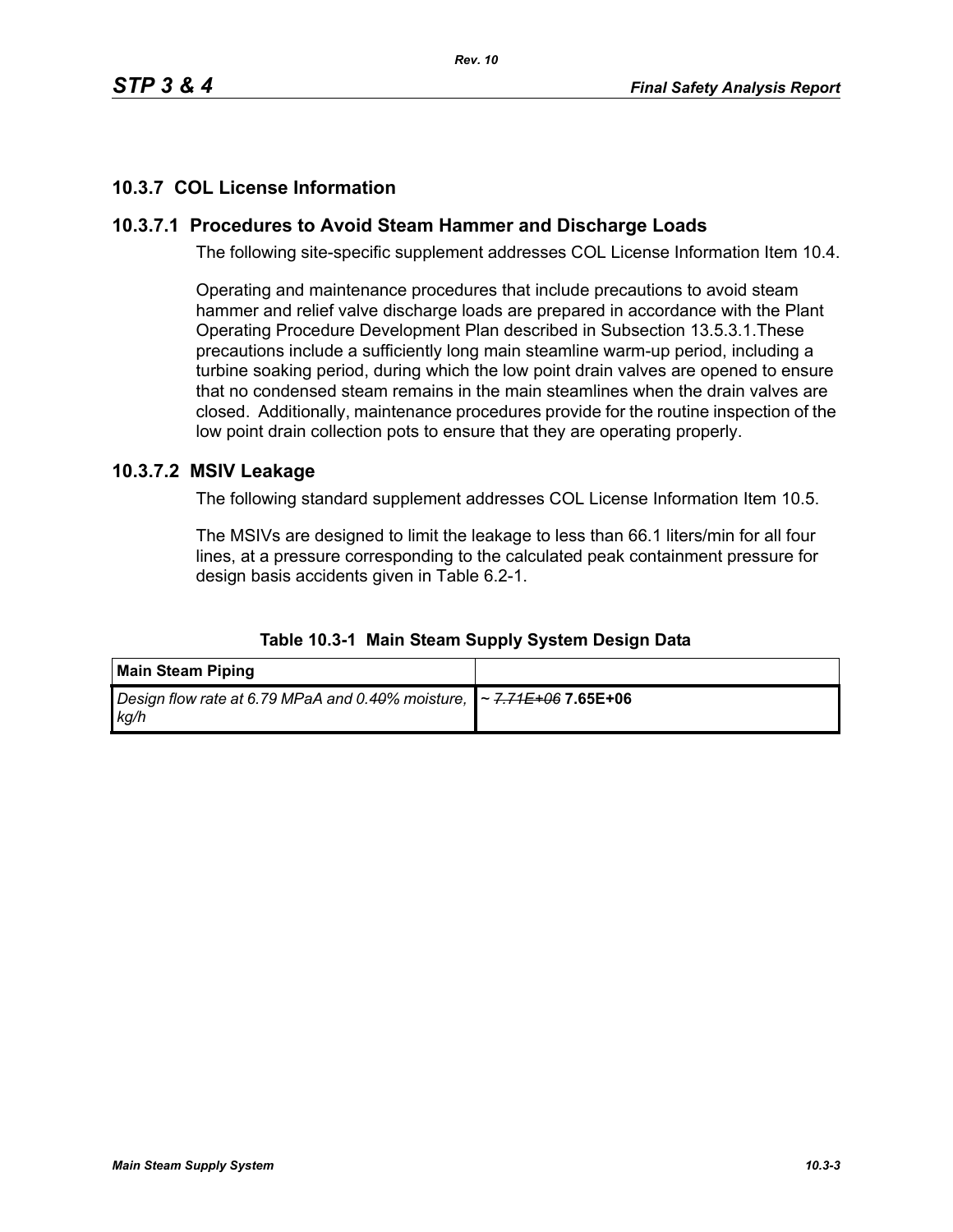# **10.3.7 COL License Information**

# **10.3.7.1 Procedures to Avoid Steam Hammer and Discharge Loads**

The following site-specific supplement addresses COL License Information Item 10.4.

Operating and maintenance procedures that include precautions to avoid steam hammer and relief valve discharge loads are prepared in accordance with the Plant Operating Procedure Development Plan described in Subsection 13.5.3.1.These precautions include a sufficiently long main steamline warm-up period, including a turbine soaking period, during which the low point drain valves are opened to ensure that no condensed steam remains in the main steamlines when the drain valves are closed. Additionally, maintenance procedures provide for the routine inspection of the low point drain collection pots to ensure that they are operating properly.

## **10.3.7.2 MSIV Leakage**

The following standard supplement addresses COL License Information Item 10.5.

The MSIVs are designed to limit the leakage to less than 66.1 liters/min for all four lines, at a pressure corresponding to the calculated peak containment pressure for design basis accidents given in Table 6.2-1.

| <b>Main Steam Piping</b>                                                                                       |  |
|----------------------------------------------------------------------------------------------------------------|--|
| Design flow rate at 6.79 MPaA and 0.4 <del>0</del> % moisture, <b> </b> ~ <del>7.71E+06</del> 7.65E+06<br>ka/h |  |

#### **Table 10.3-1 Main Steam Supply System Design Data**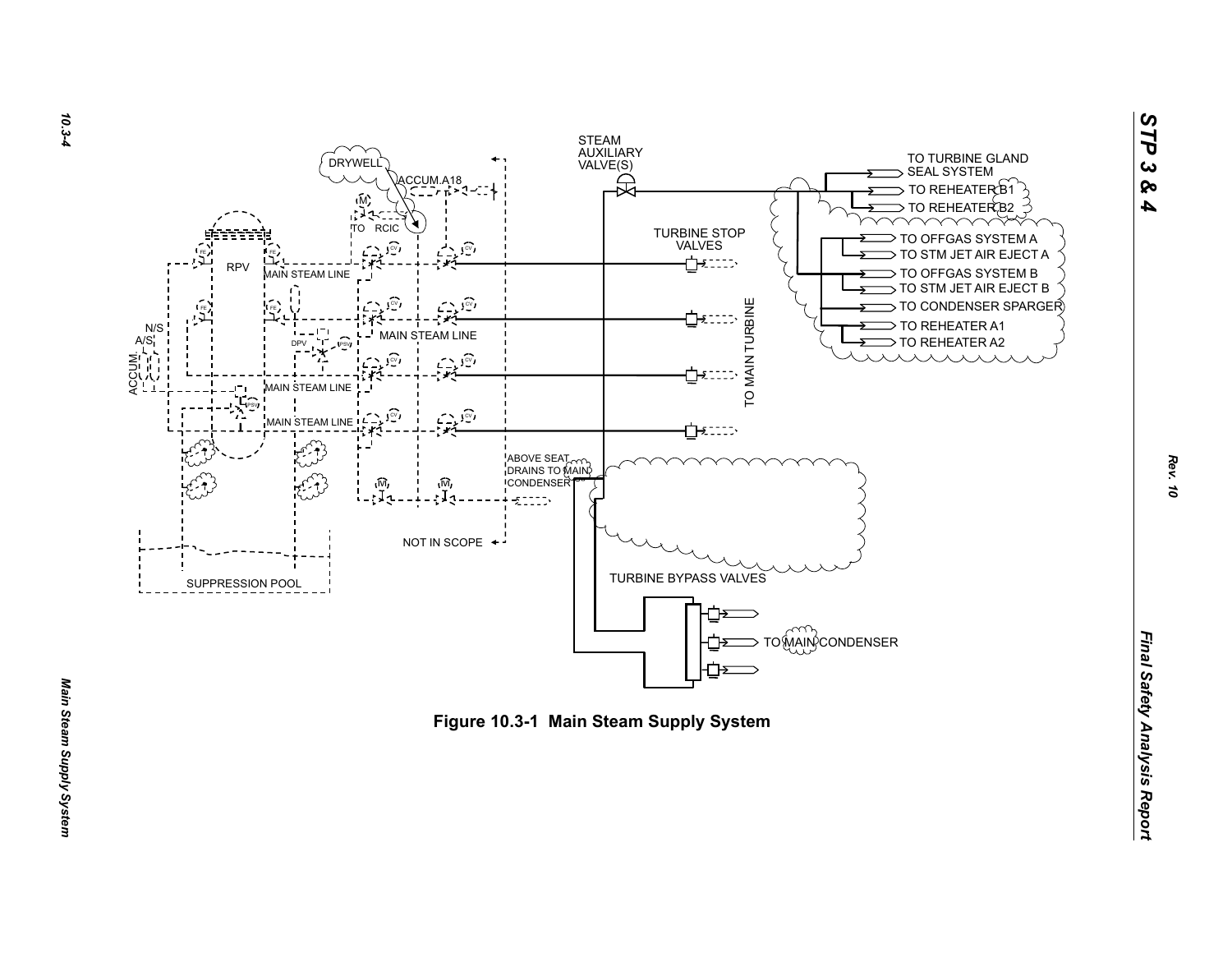



*Rev. 10*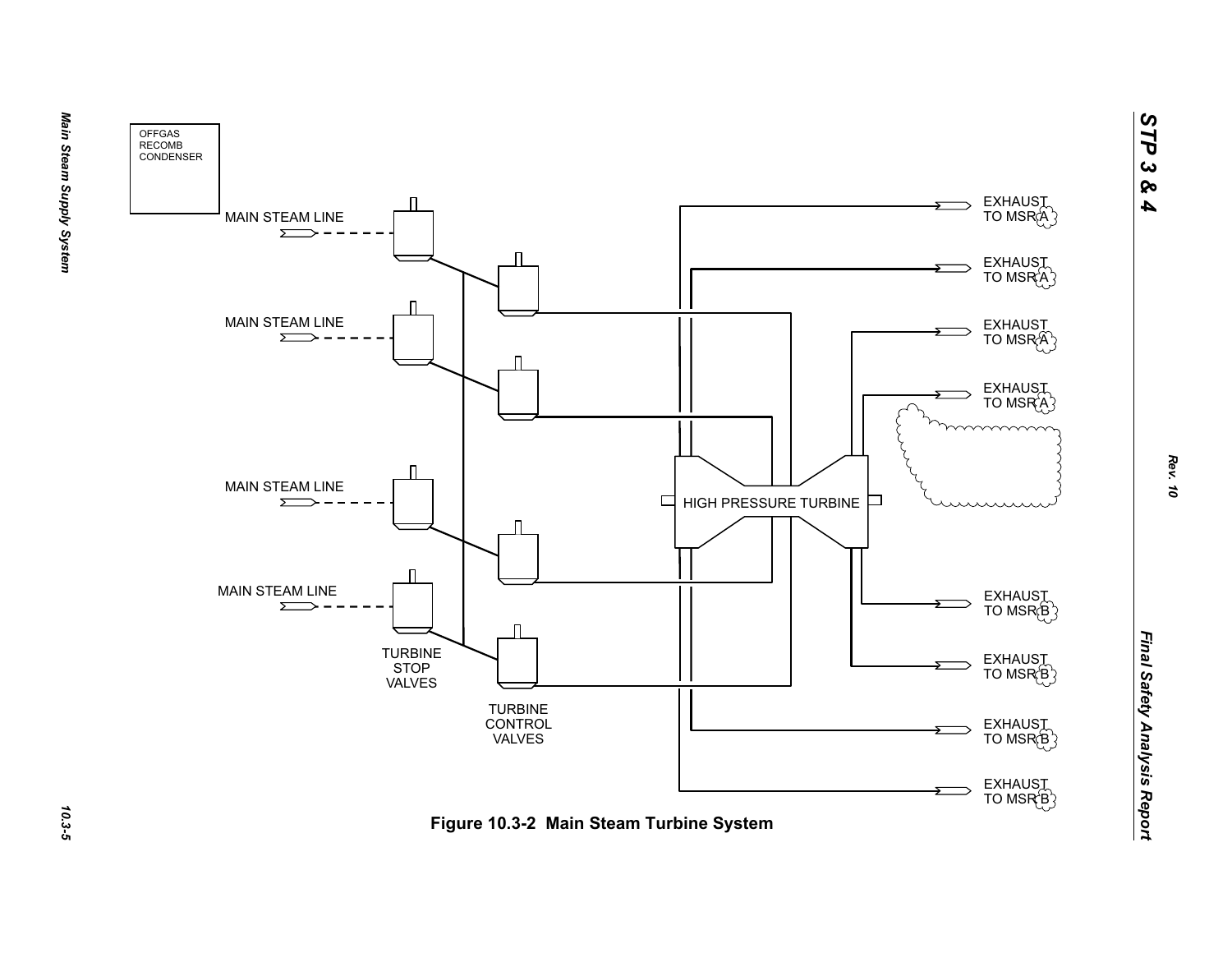

10.3-5

*STP 3 & 4*